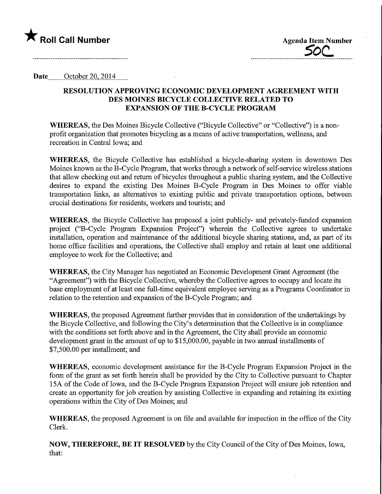# $\bigstar$  Roll Call Number  $\bigstar$  agenda Item Number

5bc.

#### Date ........October 2.0,2014 \_\_

### RESOLUTION APPROVING ECONOMIC DEVELOPMENT AGREEMENT WITH DES MOINES BICYCLE COLLECTIVE RELATED TO EXPANSION OF THE B-CYCLE PROGRAM

WHEREAS, the Des Moines Bicycle Collective ("Bicycle Collective" or "Collective") is a nonprofit organization that promotes bicycling as a means of active transportation, wellness, and recreation in Central Iowa; and

WHEREAS, the Bicycle Collective has established a bicycle-sharing system in downtown Des Moines known as the B-Cycle Program, that works through a network of self-service wireless stations that allow checking out and return of bicycles throughout a public sharing system, and the Collective desires to expand the existing Des Moines B-Cycle Program in Des Moines to offer viable transportation links, as alternatives to existing public and private transportation options, between crucial destinations for residents, workers and tourists; and

WHEREAS, the Bicycle Collective has proposed a joint publicly- and privately-funded expansion project ("B-Cycle Program Expansion Project") wherein the Collective agrees to undertake installation, operation and maintenance of the additional bicycle sharing stations, and, as part of its home office facilities and operations, the Collective shall employ and retain at least one additional employee to work for the Collective; and

WHEREAS, the City Manager has negotiated an Economic Development Grant Agreement (the "Agreement") with the Bicycle Collective, whereby the Collective agrees to occupy and locate its base employment of at least one full-time equivalent employee serving as a Programs Coordinator in relation to the retention and expansion of the B-Cycle Program; and

WHEREAS, the proposed Agreement further provides that in consideration of the undertakings by the Bicycle Collective, and following the City's determination that the Collective is in compliance with the conditions set forth above and in the Agreement, the City shall provide an economic development grant in the amount of up to \$15,000.00, payable in two annual installments of \$7,500.00 per installment; and

WHEREAS, economic development assistance for the B-Cycle Program Expansion Project in the form of the grant as set forth herein shall be provided by the City to Collective pursuant to Chapter 15A of the Code of Iowa, and the B-Cycle Program Expansion Project will ensure job retention and create an opportunity for job creation by assisting Collective in expanding and retaining its existing operations within the City of Des Moines; and

WHEREAS, the proposed Agreement is on file and available for inspection in the office of the City Clerk.

NOW, THEREFORE, BE IT RESOLVED by the City Council of the City of Des Moines, Iowa, that: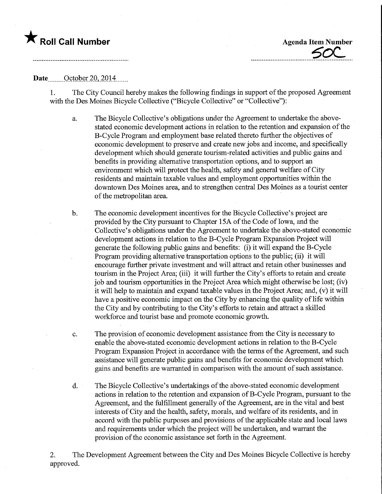### **The Roll Call Number Agents Contained Agents Agents Item Number**

SOC

#### Date.......October 20, 2014

1. The City Council hereby makes the following findings in support of the proposed Agreement with the Des Moines Bicycle Collective ("Bicycle Collective" or "Collective"):

- a. The Bicycle Collective's obligations under the Agreement to undertake the abovestated economic development actions in relation to the retention and expansion of the B-Cycle Program and employment base related thereto farther the objectives of economic development to preserve and create new jobs and income, and specifically development which should generate tourism-related activities and public gains and benefits in providing alternative transportation options, and to support an environment which will protect the health, safety and general welfare of City residents and maintain taxable values and employment opportunities within the downtown Des Moines area, and to strengthen central Des Moines as a tourist center of the metropolitan area.
- b. The economic development incentives for the Bicycle Collective's project are provided by the City pursuant to Chapter 15A of the Code of Iowa, and the Collective's obligations under the Agreement to undertake the above-stated economic development actions in relation to the B-Cycle Program Expansion Project will generate the following public gains and benefits: (i) it will expand the B-Cycle Program providing alternative transportation options to the public; (ii) it will encourage further private investment and will attract and retain other businesses and tourism in the Project Area; (iii) it will further the City's efforts to retain and create job and tourism opportunities in the Project Area which might otherwise be lost; (iv) it will help to maintain and expand taxable values in the Project Area; and, (v) it will have a positive economic impact on the City by enhancing the quality of life within the City and by contributing to the City's efforts to retain and attract a skilled workforce and tourist base and promote economic growth.
- c. The provision of economic development assistance from the City is necessary to enable the above-stated economic development actions in relation to the B-Cycle Program Expansion Project in accordance with the terms of the Agreement, and such assistance will generate public gains and benefits for economic development which gains and benefits are warranted in comparison with the amount of such assistance.
- d. The Bicycle Collective's undertakings of the above-stated economic development actions in relation to the retention and expansion of B-Cycle Program, pursuant to the Agreement, and the fulfillment generally of the Agreement, are in the vital and best interests of City and the health, safety, morals, and welfare of its residents, and in accord with the public purposes and provisions of the applicable state and local laws and requirements under which the project will be undertaken, and warrant the provision of the economic assistance set forth in the Agreement.

2. The Development Agreement between the City and Des Moines Bicycle Collective is hereby approved.